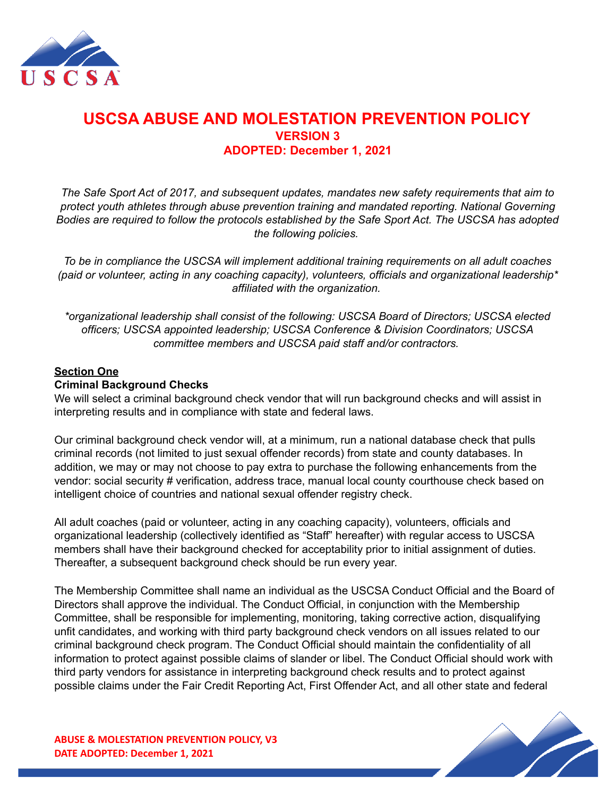

# **USCSA ABUSE AND MOLESTATION PREVENTION POLICY VERSION 3 ADOPTED: December 1, 2021**

*The Safe Sport Act of 2017, and subsequent updates, mandates new safety requirements that aim to protect youth athletes through abuse prevention training and mandated reporting. National Governing Bodies are required to follow the protocols established by the Safe Sport Act. The USCSA has adopted the following policies.*

*To be in compliance the USCSA will implement additional training requirements on all adult coaches (paid or volunteer, acting in any coaching capacity), volunteers, officials and organizational leadership\* affiliated with the organization.*

*\*organizational leadership shall consist of the following: USCSA Board of Directors; USCSA elected officers; USCSA appointed leadership; USCSA Conference & Division Coordinators; USCSA committee members and USCSA paid staff and/or contractors.*

## **Section One**

## **Criminal Background Checks**

We will select a criminal background check vendor that will run background checks and will assist in interpreting results and in compliance with state and federal laws.

Our criminal background check vendor will, at a minimum, run a national database check that pulls criminal records (not limited to just sexual offender records) from state and county databases. In addition, we may or may not choose to pay extra to purchase the following enhancements from the vendor: social security # verification, address trace, manual local county courthouse check based on intelligent choice of countries and national sexual offender registry check.

All adult coaches (paid or volunteer, acting in any coaching capacity), volunteers, officials and organizational leadership (collectively identified as "Staff" hereafter) with regular access to USCSA members shall have their background checked for acceptability prior to initial assignment of duties. Thereafter, a subsequent background check should be run every year.

The Membership Committee shall name an individual as the USCSA Conduct Official and the Board of Directors shall approve the individual. The Conduct Official, in conjunction with the Membership Committee, shall be responsible for implementing, monitoring, taking corrective action, disqualifying unfit candidates, and working with third party background check vendors on all issues related to our criminal background check program. The Conduct Official should maintain the confidentiality of all information to protect against possible claims of slander or libel. The Conduct Official should work with third party vendors for assistance in interpreting background check results and to protect against possible claims under the Fair Credit Reporting Act, First Offender Act, and all other state and federal

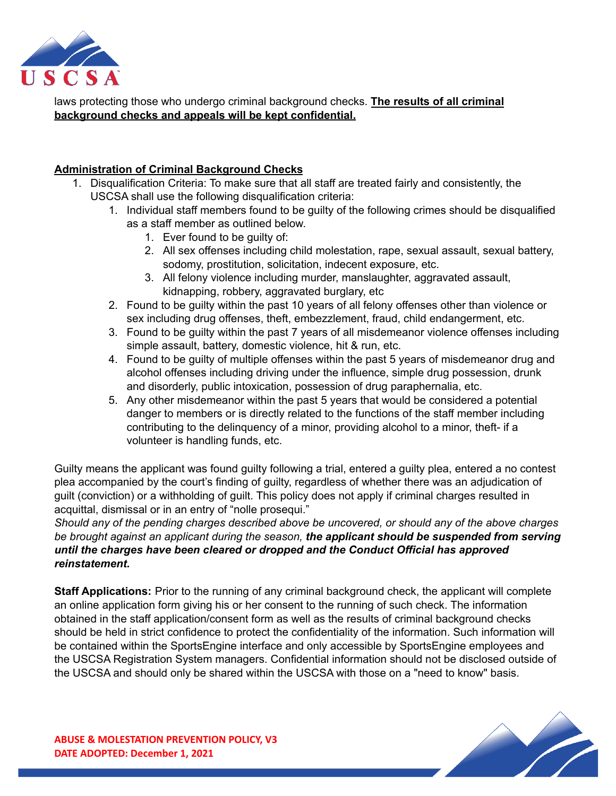

laws protecting those who undergo criminal background checks. **The results of all criminal background checks and appeals will be kept confidential.**

# **Administration of Criminal Background Checks**

- 1. Disqualification Criteria: To make sure that all staff are treated fairly and consistently, the USCSA shall use the following disqualification criteria:
	- 1. Individual staff members found to be guilty of the following crimes should be disqualified as a staff member as outlined below.
		- 1. Ever found to be guilty of:
		- 2. All sex offenses including child molestation, rape, sexual assault, sexual battery, sodomy, prostitution, solicitation, indecent exposure, etc.
		- 3. All felony violence including murder, manslaughter, aggravated assault, kidnapping, robbery, aggravated burglary, etc
	- 2. Found to be guilty within the past 10 years of all felony offenses other than violence or sex including drug offenses, theft, embezzlement, fraud, child endangerment, etc.
	- 3. Found to be guilty within the past 7 years of all misdemeanor violence offenses including simple assault, battery, domestic violence, hit & run, etc.
	- 4. Found to be guilty of multiple offenses within the past 5 years of misdemeanor drug and alcohol offenses including driving under the influence, simple drug possession, drunk and disorderly, public intoxication, possession of drug paraphernalia, etc.
	- 5. Any other misdemeanor within the past 5 years that would be considered a potential danger to members or is directly related to the functions of the staff member including contributing to the delinquency of a minor, providing alcohol to a minor, theft- if a volunteer is handling funds, etc.

Guilty means the applicant was found guilty following a trial, entered a guilty plea, entered a no contest plea accompanied by the court's finding of guilty, regardless of whether there was an adjudication of guilt (conviction) or a withholding of guilt. This policy does not apply if criminal charges resulted in acquittal, dismissal or in an entry of "nolle prosequi."

*Should any of the pending charges described above be uncovered, or should any of the above charges be brought against an applicant during the season, the applicant should be suspended from serving until the charges have been cleared or dropped and the Conduct Official has approved reinstatement.*

**Staff Applications:** Prior to the running of any criminal background check, the applicant will complete an online application form giving his or her consent to the running of such check. The information obtained in the staff application/consent form as well as the results of criminal background checks should be held in strict confidence to protect the confidentiality of the information. Such information will be contained within the SportsEngine interface and only accessible by SportsEngine employees and the USCSA Registration System managers. Confidential information should not be disclosed outside of the USCSA and should only be shared within the USCSA with those on a "need to know" basis.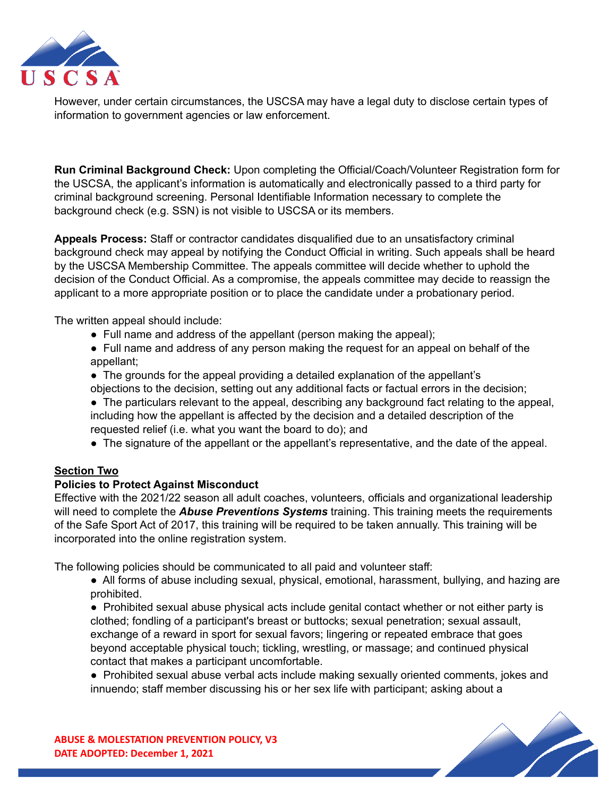

However, under certain circumstances, the USCSA may have a legal duty to disclose certain types of information to government agencies or law enforcement.

**Run Criminal Background Check:** Upon completing the Official/Coach/Volunteer Registration form for the USCSA, the applicant's information is automatically and electronically passed to a third party for criminal background screening. Personal Identifiable Information necessary to complete the background check (e.g. SSN) is not visible to USCSA or its members.

**Appeals Process:** Staff or contractor candidates disqualified due to an unsatisfactory criminal background check may appeal by notifying the Conduct Official in writing. Such appeals shall be heard by the USCSA Membership Committee. The appeals committee will decide whether to uphold the decision of the Conduct Official. As a compromise, the appeals committee may decide to reassign the applicant to a more appropriate position or to place the candidate under a probationary period.

The written appeal should include:

- Full name and address of the appellant (person making the appeal);
- Full name and address of any person making the request for an appeal on behalf of the appellant;
- The grounds for the appeal providing a detailed explanation of the appellant's objections to the decision, setting out any additional facts or factual errors in the decision;
- The particulars relevant to the appeal, describing any background fact relating to the appeal, including how the appellant is affected by the decision and a detailed description of the requested relief (i.e. what you want the board to do); and
- The signature of the appellant or the appellant's representative, and the date of the appeal.

# **Section Two**

# **Policies to Protect Against Misconduct**

Effective with the 2021/22 season all adult coaches, volunteers, officials and organizational leadership will need to complete the *Abuse Preventions Systems* training. This training meets the requirements of the Safe Sport Act of 2017, this training will be required to be taken annually. This training will be incorporated into the online registration system.

The following policies should be communicated to all paid and volunteer staff:

• All forms of abuse including sexual, physical, emotional, harassment, bullying, and hazing are prohibited.

● Prohibited sexual abuse physical acts include genital contact whether or not either party is clothed; fondling of a participant's breast or buttocks; sexual penetration; sexual assault, exchange of a reward in sport for sexual favors; lingering or repeated embrace that goes beyond acceptable physical touch; tickling, wrestling, or massage; and continued physical contact that makes a participant uncomfortable.

● Prohibited sexual abuse verbal acts include making sexually oriented comments, jokes and innuendo; staff member discussing his or her sex life with participant; asking about a

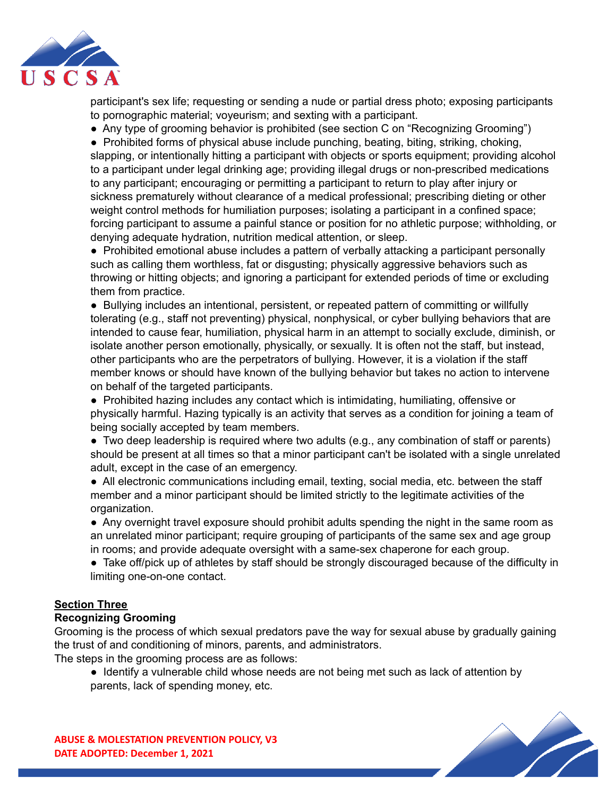

participant's sex life; requesting or sending a nude or partial dress photo; exposing participants to pornographic material; voyeurism; and sexting with a participant.

• Any type of grooming behavior is prohibited (see section C on "Recognizing Grooming")

● Prohibited forms of physical abuse include punching, beating, biting, striking, choking, slapping, or intentionally hitting a participant with objects or sports equipment; providing alcohol to a participant under legal drinking age; providing illegal drugs or non-prescribed medications to any participant; encouraging or permitting a participant to return to play after injury or sickness prematurely without clearance of a medical professional; prescribing dieting or other weight control methods for humiliation purposes; isolating a participant in a confined space; forcing participant to assume a painful stance or position for no athletic purpose; withholding, or denying adequate hydration, nutrition medical attention, or sleep.

● Prohibited emotional abuse includes a pattern of verbally attacking a participant personally such as calling them worthless, fat or disgusting; physically aggressive behaviors such as throwing or hitting objects; and ignoring a participant for extended periods of time or excluding them from practice.

● Bullying includes an intentional, persistent, or repeated pattern of committing or willfully tolerating (e.g., staff not preventing) physical, nonphysical, or cyber bullying behaviors that are intended to cause fear, humiliation, physical harm in an attempt to socially exclude, diminish, or isolate another person emotionally, physically, or sexually. It is often not the staff, but instead, other participants who are the perpetrators of bullying. However, it is a violation if the staff member knows or should have known of the bullying behavior but takes no action to intervene on behalf of the targeted participants.

● Prohibited hazing includes any contact which is intimidating, humiliating, offensive or physically harmful. Hazing typically is an activity that serves as a condition for joining a team of being socially accepted by team members.

• Two deep leadership is required where two adults (e.g., any combination of staff or parents) should be present at all times so that a minor participant can't be isolated with a single unrelated adult, except in the case of an emergency.

• All electronic communications including email, texting, social media, etc. between the staff member and a minor participant should be limited strictly to the legitimate activities of the organization.

● Any overnight travel exposure should prohibit adults spending the night in the same room as an unrelated minor participant; require grouping of participants of the same sex and age group in rooms; and provide adequate oversight with a same-sex chaperone for each group.

● Take off/pick up of athletes by staff should be strongly discouraged because of the difficulty in limiting one-on-one contact.

# **Section Three**

#### **Recognizing Grooming**

Grooming is the process of which sexual predators pave the way for sexual abuse by gradually gaining the trust of and conditioning of minors, parents, and administrators.

The steps in the grooming process are as follows:

● Identify a vulnerable child whose needs are not being met such as lack of attention by parents, lack of spending money, etc.

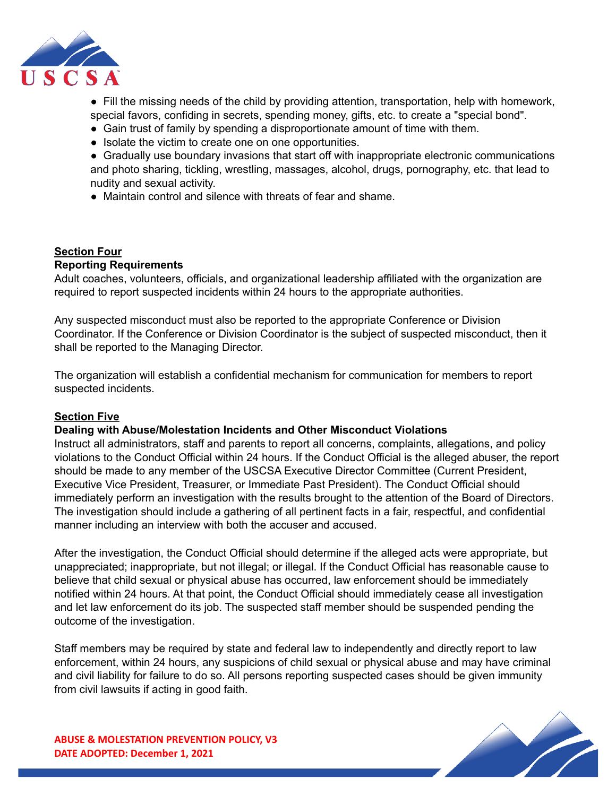

● Fill the missing needs of the child by providing attention, transportation, help with homework, special favors, confiding in secrets, spending money, gifts, etc. to create a "special bond".

- Gain trust of family by spending a disproportionate amount of time with them.
- Isolate the victim to create one on one opportunities.

• Gradually use boundary invasions that start off with inappropriate electronic communications and photo sharing, tickling, wrestling, massages, alcohol, drugs, pornography, etc. that lead to nudity and sexual activity.

• Maintain control and silence with threats of fear and shame.

# **Section Four**

## **Reporting Requirements**

Adult coaches, volunteers, officials, and organizational leadership affiliated with the organization are required to report suspected incidents within 24 hours to the appropriate authorities.

Any suspected misconduct must also be reported to the appropriate Conference or Division Coordinator. If the Conference or Division Coordinator is the subject of suspected misconduct, then it shall be reported to the Managing Director.

The organization will establish a confidential mechanism for communication for members to report suspected incidents.

# **Section Five**

#### **Dealing with Abuse/Molestation Incidents and Other Misconduct Violations**

Instruct all administrators, staff and parents to report all concerns, complaints, allegations, and policy violations to the Conduct Official within 24 hours. If the Conduct Official is the alleged abuser, the report should be made to any member of the USCSA Executive Director Committee (Current President, Executive Vice President, Treasurer, or Immediate Past President). The Conduct Official should immediately perform an investigation with the results brought to the attention of the Board of Directors. The investigation should include a gathering of all pertinent facts in a fair, respectful, and confidential manner including an interview with both the accuser and accused.

After the investigation, the Conduct Official should determine if the alleged acts were appropriate, but unappreciated; inappropriate, but not illegal; or illegal. If the Conduct Official has reasonable cause to believe that child sexual or physical abuse has occurred, law enforcement should be immediately notified within 24 hours. At that point, the Conduct Official should immediately cease all investigation and let law enforcement do its job. The suspected staff member should be suspended pending the outcome of the investigation.

Staff members may be required by state and federal law to independently and directly report to law enforcement, within 24 hours, any suspicions of child sexual or physical abuse and may have criminal and civil liability for failure to do so. All persons reporting suspected cases should be given immunity from civil lawsuits if acting in good faith.